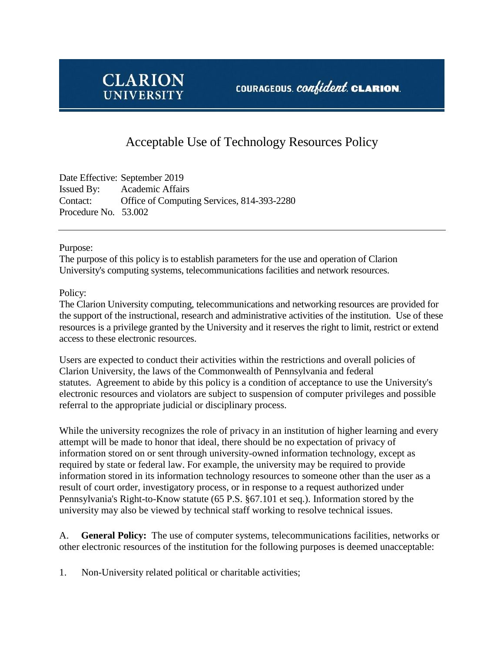

## COURAGEOUS. *confident*. CLARION.

## Acceptable Use of Technology Resources Policy

Date Effective: September 2019 Issued By: Academic Affairs Contact: Office of Computing Services, 814-393-2280 Procedure No. 53.002

Purpose:

The purpose of this policy is to establish parameters for the use and operation of Clarion University's computing systems, telecommunications facilities and network resources.

Policy:

The Clarion University computing, telecommunications and networking resources are provided for the support of the instructional, research and administrative activities of the institution. Use of these resources is a privilege granted by the University and it reserves the right to limit, restrict or extend access to these electronic resources.

Users are expected to conduct their activities within the restrictions and overall policies of Clarion University, the laws of the Commonwealth of Pennsylvania and federal statutes. Agreement to abide by this policy is a condition of acceptance to use the University's electronic resources and violators are subject to suspension of computer privileges and possible referral to the appropriate judicial or disciplinary process.

While the university recognizes the role of privacy in an institution of higher learning and every attempt will be made to honor that ideal, there should be no expectation of privacy of information stored on or sent through university-owned information technology, except as required by state or federal law. For example, the university may be required to provide information stored in its information technology resources to someone other than the user as a result of court order, investigatory process, or in response to a request authorized under Pennsylvania's Right-to-Know statute (65 P.S. §67.101 et seq.). Information stored by the university may also be viewed by technical staff working to resolve technical issues.

A. **General Policy:** The use of computer systems, telecommunications facilities, networks or other electronic resources of the institution for the following purposes is deemed unacceptable:

1. Non-University related political or charitable activities;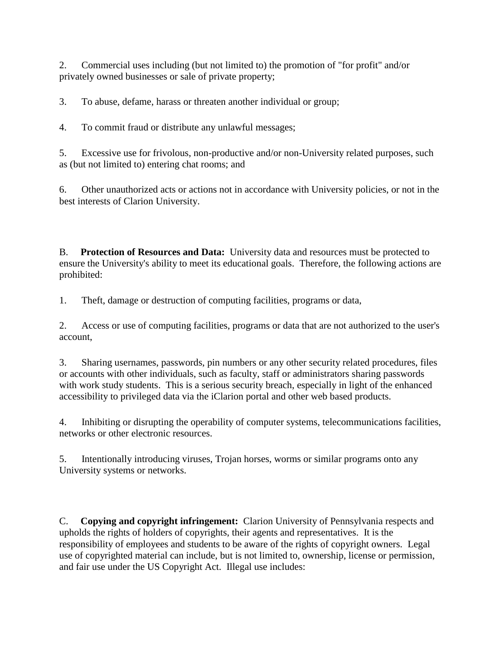2. Commercial uses including (but not limited to) the promotion of "for profit" and/or privately owned businesses or sale of private property;

3. To abuse, defame, harass or threaten another individual or group;

4. To commit fraud or distribute any unlawful messages;

5. Excessive use for frivolous, non-productive and/or non-University related purposes, such as (but not limited to) entering chat rooms; and

6. Other unauthorized acts or actions not in accordance with University policies, or not in the best interests of Clarion University.

B. **Protection of Resources and Data:** University data and resources must be protected to ensure the University's ability to meet its educational goals. Therefore, the following actions are prohibited:

1. Theft, damage or destruction of computing facilities, programs or data,

2. Access or use of computing facilities, programs or data that are not authorized to the user's account,

3. Sharing usernames, passwords, pin numbers or any other security related procedures, files or accounts with other individuals, such as faculty, staff or administrators sharing passwords with work study students. This is a serious security breach, especially in light of the enhanced accessibility to privileged data via the iClarion portal and other web based products.

4. Inhibiting or disrupting the operability of computer systems, telecommunications facilities, networks or other electronic resources.

5. Intentionally introducing viruses, Trojan horses, worms or similar programs onto any University systems or networks.

C. **Copying and copyright infringement:** Clarion University of Pennsylvania respects and upholds the rights of holders of copyrights, their agents and representatives. It is the responsibility of employees and students to be aware of the rights of copyright owners. Legal use of copyrighted material can include, but is not limited to, ownership, license or permission, and fair use under the US Copyright Act. Illegal use includes: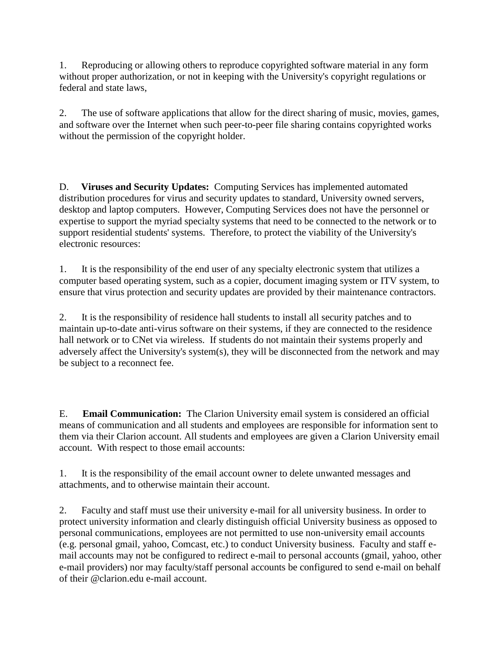1. Reproducing or allowing others to reproduce copyrighted software material in any form without proper authorization, or not in keeping with the University's copyright regulations or federal and state laws,

2. The use of software applications that allow for the direct sharing of music, movies, games, and software over the Internet when such peer-to-peer file sharing contains copyrighted works without the permission of the copyright holder.

D. **Viruses and Security Updates:** Computing Services has implemented automated distribution procedures for virus and security updates to standard, University owned servers, desktop and laptop computers. However, Computing Services does not have the personnel or expertise to support the myriad specialty systems that need to be connected to the network or to support residential students' systems. Therefore, to protect the viability of the University's electronic resources:

1. It is the responsibility of the end user of any specialty electronic system that utilizes a computer based operating system, such as a copier, document imaging system or ITV system, to ensure that virus protection and security updates are provided by their maintenance contractors.

2. It is the responsibility of residence hall students to install all security patches and to maintain up-to-date anti-virus software on their systems, if they are connected to the residence hall network or to CNet via wireless. If students do not maintain their systems properly and adversely affect the University's system(s), they will be disconnected from the network and may be subject to a reconnect fee.

E. **Email Communication:** The Clarion University email system is considered an official means of communication and all students and employees are responsible for information sent to them via their Clarion account. All students and employees are given a Clarion University email account. With respect to those email accounts:

1. It is the responsibility of the email account owner to delete unwanted messages and attachments, and to otherwise maintain their account.

2. Faculty and staff must use their university e-mail for all university business. In order to protect university information and clearly distinguish official University business as opposed to personal communications, employees are not permitted to use non-university email accounts (e.g. personal gmail, yahoo, Comcast, etc.) to conduct University business. Faculty and staff email accounts may not be configured to redirect e-mail to personal accounts (gmail, yahoo, other e-mail providers) nor may faculty/staff personal accounts be configured to send e-mail on behalf of their @clarion.edu e-mail account.